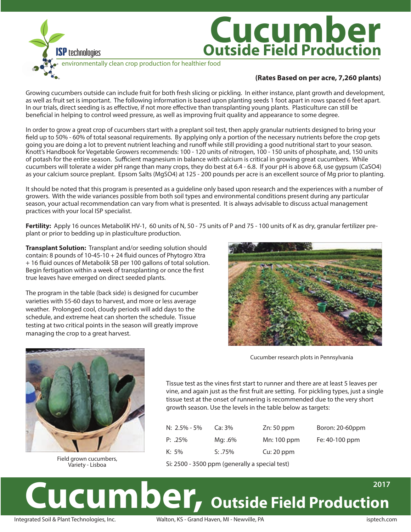

## **Cucumber Outside Field Production**

environmentally clean crop production for healthier food

## **(Rates Based on per acre, 7,260 plants)**

Growing cucumbers outside can include fruit for both fresh slicing or pickling. In either instance, plant growth and development, as well as fruit set is important. The following information is based upon planting seeds 1 foot apart in rows spaced 6 feet apart. In our trials, direct seeding is as effective, if not more effective than transplanting young plants. Plasticulture can still be beneficial in helping to control weed pressure, as well as improving fruit quality and appearance to some degree.

In order to grow a great crop of cucumbers start with a preplant soil test, then apply granular nutrients designed to bring your field up to 50% - 60% of total seasonal requirements. By applying only a portion of the necessary nutrients before the crop gets going you are doing a lot to prevent nutrient leaching and runoff while still providing a good nutritional start to your season. Knott's Handbook for Vegetable Growers recommends: 100 - 120 units of nitrogen, 100 - 150 units of phosphate, and, 150 units of potash for the entire season. Sufficient magnesium in balance with calcium is critical in growing great cucumbers. While cucumbers will tolerate a wider pH range than many crops, they do best at 6.4 - 6.8. If your pH is above 6.8, use gypsum (CaSO4) as your calcium source preplant. Epsom Salts (MgSO4) at 125 - 200 pounds per acre is an excellent source of Mg prior to planting.

It should be noted that this program is presented as a guideline only based upon research and the experiences with a number of growers. With the wide variances possible from both soil types and environmental conditions present during any particular season, your actual recommendation can vary from what is presented. It is always advisable to discuss actual management practices with your local ISP specialist.

**Fertility:** Apply 16 ounces MetaboliK HV-1, 60 units of N, 50 - 75 units of P and 75 - 100 units of K as dry, granular fertilizer preplant or prior to bedding up in plasticulture production.

**Transplant Solution:** Transplant and/or seeding solution should contain: 8 pounds of  $10-45-10 + 24$  fluid ounces of Phytogro Xtra + 16 fluid ounces of Metabolik SB per 100 gallons of total solution. Begin fertigation within a week of transplanting or once the first true leaves have emerged on direct seeded plants.

The program in the table (back side) is designed for cucumber varieties with 55-60 days to harvest, and more or less average weather. Prolonged cool, cloudy periods will add days to the schedule, and extreme heat can shorten the schedule. Tissue testing at two critical points in the season will greatly improve managing the crop to a great harvest.



Cucumber research plots in Pennsylvania

Tissue test as the vines first start to runner and there are at least 5 leaves per vine, and again just as the first fruit are setting. For pickling types, just a single tissue test at the onset of runnering is recommended due to the very short growth season. Use the levels in the table below as targets:

| N: $2.5\%$ - 5% | Ca:3%      | $Zn: 50$ ppm | Boron: 20-60ppm |
|-----------------|------------|--------------|-----------------|
| $P: .25\%$      | Mg: .6%    | Mn: 100 ppm  | Fe: 40-100 ppm  |
| $K: 5\%$        | $S: .75\%$ | Cu: 20 ppm   |                 |

Si: 2500 - 3500 ppm (generally a special test)

## **UCUMber, Outside Field Production 2017**

Field grown cucumbers, Variety - Lisboa

Integrated Soil & Plant Technologies, Inc. Walton, KS - Grand Haven, MI - Newville, PA isptech.com isptech.com